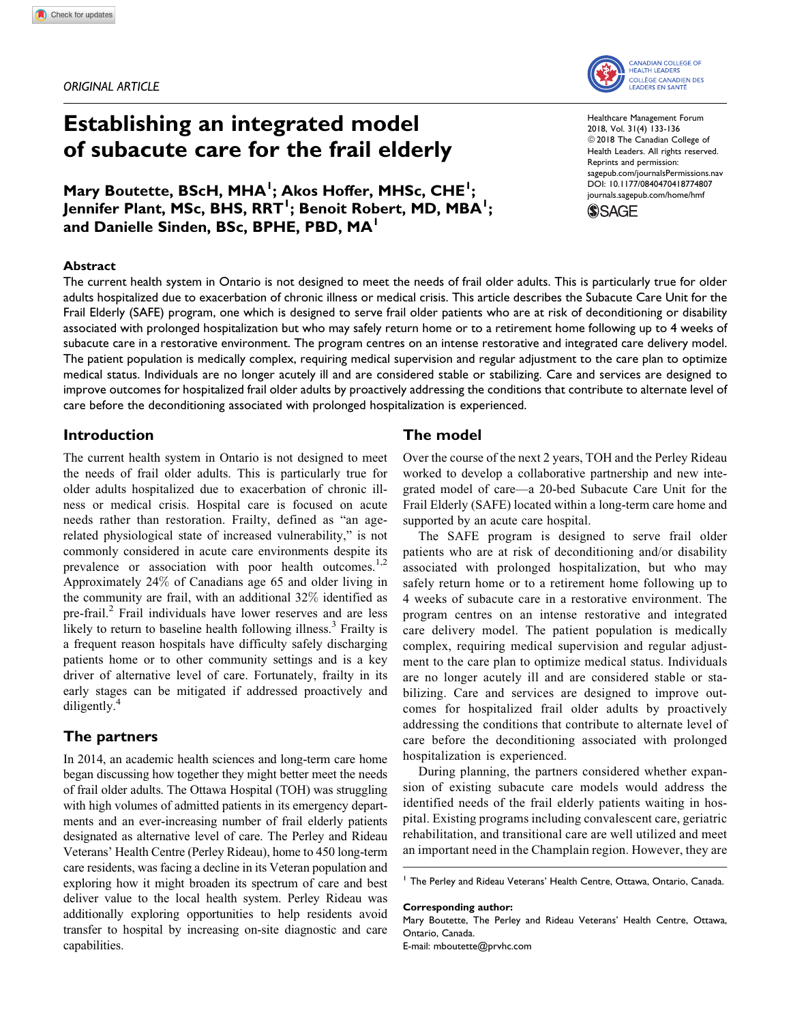ORIGINAL ARTICLE

# Establishing an integrated model of subacute care for the frail elderly

Mary Boutette, BScH, MHA<sup>I</sup>; Akos Hoffer, MHSc, CHE<sup>I</sup>; Jennifer Plant, MSc, BHS, RRT<sup>I</sup>; Benoit Robert, MD, MBA<sup>I</sup>; and Danielle Sinden, BSc, BPHE, PBD, MA<sup>1</sup>

#### **Abstract**

The current health system in Ontario is not designed to meet the needs of frail older adults. This is particularly true for older adults hospitalized due to exacerbation of chronic illness or medical crisis. This article describes the Subacute Care Unit for the Frail Elderly (SAFE) program, one which is designed to serve frail older patients who are at risk of deconditioning or disability associated with prolonged hospitalization but who may safely return home or to a retirement home following up to 4 weeks of subacute care in a restorative environment. The program centres on an intense restorative and integrated care delivery model. The patient population is medically complex, requiring medical supervision and regular adjustment to the care plan to optimize medical status. Individuals are no longer acutely ill and are considered stable or stabilizing. Care and services are designed to improve outcomes for hospitalized frail older adults by proactively addressing the conditions that contribute to alternate level of care before the deconditioning associated with prolonged hospitalization is experienced.

# Introduction

The current health system in Ontario is not designed to meet the needs of frail older adults. This is particularly true for older adults hospitalized due to exacerbation of chronic illness or medical crisis. Hospital care is focused on acute needs rather than restoration. Frailty, defined as "an agerelated physiological state of increased vulnerability," is not commonly considered in acute care environments despite its prevalence or association with poor health outcomes. $^{1,2}$ Approximately 24% of Canadians age 65 and older living in the community are frail, with an additional 32% identified as pre-frail.<sup>2</sup> Frail individuals have lower reserves and are less likely to return to baseline health following illness.<sup>3</sup> Frailty is a frequent reason hospitals have difficulty safely discharging patients home or to other community settings and is a key driver of alternative level of care. Fortunately, frailty in its early stages can be mitigated if addressed proactively and diligently.<sup>4</sup>

# The partners

In 2014, an academic health sciences and long-term care home began discussing how together they might better meet the needs of frail older adults. The Ottawa Hospital (TOH) was struggling with high volumes of admitted patients in its emergency departments and an ever-increasing number of frail elderly patients designated as alternative level of care. The Perley and Rideau Veterans' Health Centre (Perley Rideau), home to 450 long-term care residents, was facing a decline in its Veteran population and exploring how it might broaden its spectrum of care and best deliver value to the local health system. Perley Rideau was additionally exploring opportunities to help residents avoid transfer to hospital by increasing on-site diagnostic and care capabilities.

# The model

Over the course of the next 2 years, TOH and the Perley Rideau worked to develop a collaborative partnership and new integrated model of care—a 20-bed Subacute Care Unit for the Frail Elderly (SAFE) located within a long-term care home and supported by an acute care hospital.

The SAFE program is designed to serve frail older patients who are at risk of deconditioning and/or disability associated with prolonged hospitalization, but who may safely return home or to a retirement home following up to 4 weeks of subacute care in a restorative environment. The program centres on an intense restorative and integrated care delivery model. The patient population is medically complex, requiring medical supervision and regular adjustment to the care plan to optimize medical status. Individuals are no longer acutely ill and are considered stable or stabilizing. Care and services are designed to improve outcomes for hospitalized frail older adults by proactively addressing the conditions that contribute to alternate level of care before the deconditioning associated with prolonged hospitalization is experienced.

During planning, the partners considered whether expansion of existing subacute care models would address the identified needs of the frail elderly patients waiting in hospital. Existing programs including convalescent care, geriatric rehabilitation, and transitional care are well utilized and meet an important need in the Champlain region. However, they are

#### Corresponding author:

Mary Boutette, The Perley and Rideau Veterans' Health Centre, Ottawa, Ontario, Canada.

E-mail: [mboutette@prvhc.com](mailto:mboutette@prvhc.com)

Healthcare Management Forum 2018, Vol. 31(4) 133-136 © 2018 The Canadian College of Health Leaders. All rights reserved. Reprints and permission: [sagepub.com/journalsPermissions.nav](https://us.sagepub.com/en-us/journals-permissions) [DOI: 10.1177/0840470418774807](https://doi.org/10.1177/0840470418774807) [journals.sagepub.com/home/hmf](http://journals.sagepub.com/home/hmf)





<sup>1</sup> The Perley and Rideau Veterans' Health Centre, Ottawa, Ontario, Canada.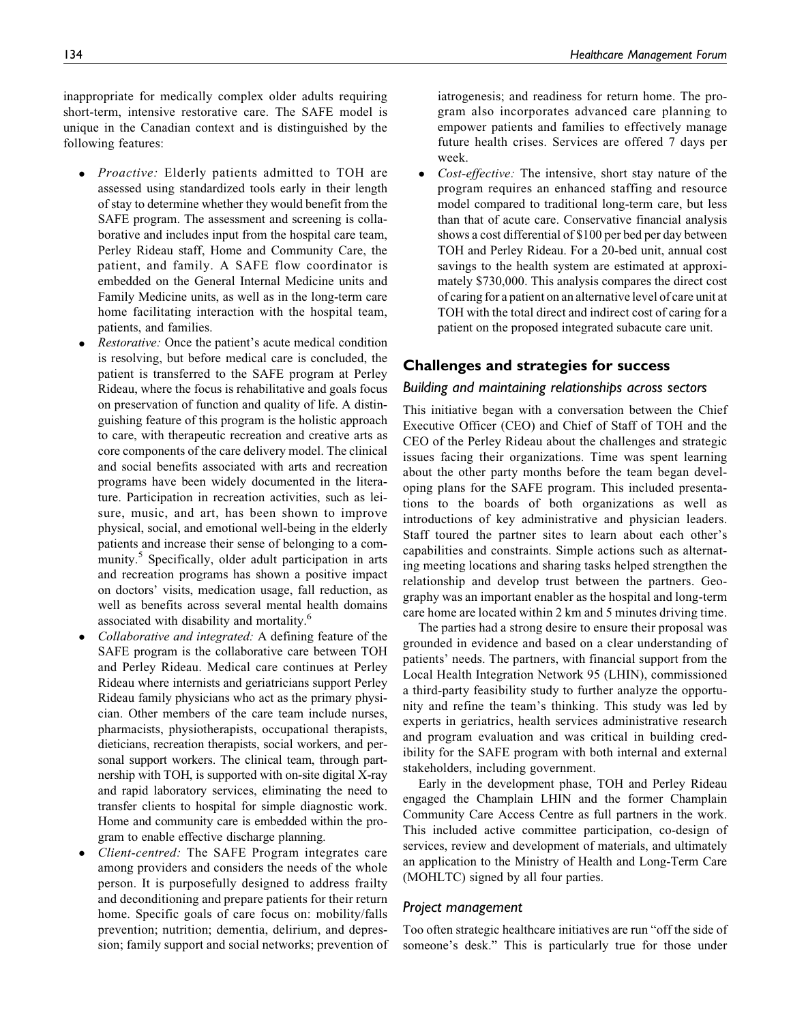inappropriate for medically complex older adults requiring short-term, intensive restorative care. The SAFE model is unique in the Canadian context and is distinguished by the following features:

- $\bullet$ *Proactive:* Elderly patients admitted to TOH are assessed using standardized tools early in their length of stay to determine whether they would benefit from the SAFE program. The assessment and screening is collaborative and includes input from the hospital care team, Perley Rideau staff, Home and Community Care, the patient, and family. A SAFE flow coordinator is embedded on the General Internal Medicine units and Family Medicine units, as well as in the long-term care home facilitating interaction with the hospital team, patients, and families.
- $\bullet$  Restorative: Once the patient's acute medical condition is resolving, but before medical care is concluded, the patient is transferred to the SAFE program at Perley Rideau, where the focus is rehabilitative and goals focus on preservation of function and quality of life. A distinguishing feature of this program is the holistic approach to care, with therapeutic recreation and creative arts as core components of the care delivery model. The clinical and social benefits associated with arts and recreation programs have been widely documented in the literature. Participation in recreation activities, such as leisure, music, and art, has been shown to improve physical, social, and emotional well-being in the elderly patients and increase their sense of belonging to a community.<sup>5</sup> Specifically, older adult participation in arts and recreation programs has shown a positive impact on doctors' visits, medication usage, fall reduction, as well as benefits across several mental health domains associated with disability and mortality.6
- $\bullet$  Collaborative and integrated: A defining feature of the SAFE program is the collaborative care between TOH and Perley Rideau. Medical care continues at Perley Rideau where internists and geriatricians support Perley Rideau family physicians who act as the primary physician. Other members of the care team include nurses, pharmacists, physiotherapists, occupational therapists, dieticians, recreation therapists, social workers, and personal support workers. The clinical team, through partnership with TOH, is supported with on-site digital X-ray and rapid laboratory services, eliminating the need to transfer clients to hospital for simple diagnostic work. Home and community care is embedded within the program to enable effective discharge planning.
- $\bullet$  Client-centred: The SAFE Program integrates care among providers and considers the needs of the whole person. It is purposefully designed to address frailty and deconditioning and prepare patients for their return home. Specific goals of care focus on: mobility/falls prevention; nutrition; dementia, delirium, and depression; family support and social networks; prevention of

iatrogenesis; and readiness for return home. The program also incorporates advanced care planning to empower patients and families to effectively manage future health crises. Services are offered 7 days per week.

 $\bullet$  Cost-effective: The intensive, short stay nature of the program requires an enhanced staffing and resource model compared to traditional long-term care, but less than that of acute care. Conservative financial analysis shows a cost differential of \$100 per bed per day between TOH and Perley Rideau. For a 20-bed unit, annual cost savings to the health system are estimated at approximately \$730,000. This analysis compares the direct cost of caring for a patient on an alternative level of care unit at TOH with the total direct and indirect cost of caring for a patient on the proposed integrated subacute care unit.

# Challenges and strategies for success

## Building and maintaining relationships across sectors

This initiative began with a conversation between the Chief Executive Officer (CEO) and Chief of Staff of TOH and the CEO of the Perley Rideau about the challenges and strategic issues facing their organizations. Time was spent learning about the other party months before the team began developing plans for the SAFE program. This included presentations to the boards of both organizations as well as introductions of key administrative and physician leaders. Staff toured the partner sites to learn about each other's capabilities and constraints. Simple actions such as alternating meeting locations and sharing tasks helped strengthen the relationship and develop trust between the partners. Geography was an important enabler as the hospital and long-term care home are located within 2 km and 5 minutes driving time.

The parties had a strong desire to ensure their proposal was grounded in evidence and based on a clear understanding of patients' needs. The partners, with financial support from the Local Health Integration Network 95 (LHIN), commissioned a third-party feasibility study to further analyze the opportunity and refine the team's thinking. This study was led by experts in geriatrics, health services administrative research and program evaluation and was critical in building credibility for the SAFE program with both internal and external stakeholders, including government.

Early in the development phase, TOH and Perley Rideau engaged the Champlain LHIN and the former Champlain Community Care Access Centre as full partners in the work. This included active committee participation, co-design of services, review and development of materials, and ultimately an application to the Ministry of Health and Long-Term Care (MOHLTC) signed by all four parties.

### Project management

Too often strategic healthcare initiatives are run "off the side of someone's desk." This is particularly true for those under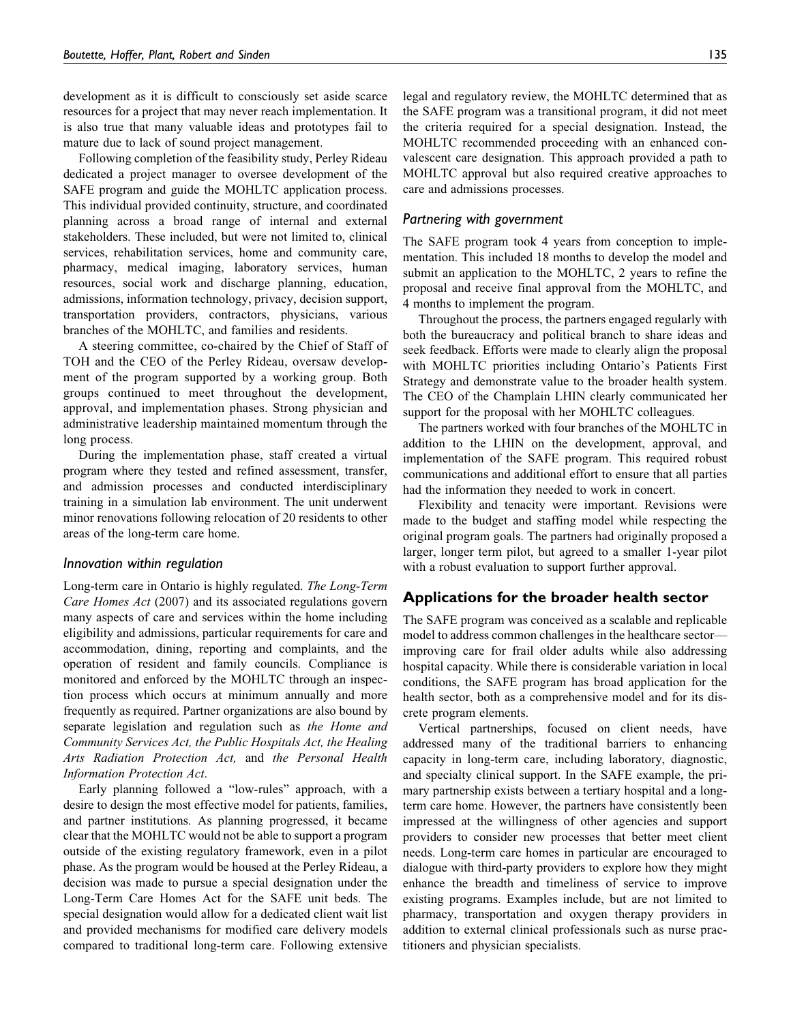development as it is difficult to consciously set aside scarce resources for a project that may never reach implementation. It is also true that many valuable ideas and prototypes fail to mature due to lack of sound project management.

Following completion of the feasibility study, Perley Rideau dedicated a project manager to oversee development of the SAFE program and guide the MOHLTC application process. This individual provided continuity, structure, and coordinated planning across a broad range of internal and external stakeholders. These included, but were not limited to, clinical services, rehabilitation services, home and community care, pharmacy, medical imaging, laboratory services, human resources, social work and discharge planning, education, admissions, information technology, privacy, decision support, transportation providers, contractors, physicians, various branches of the MOHLTC, and families and residents.

A steering committee, co-chaired by the Chief of Staff of TOH and the CEO of the Perley Rideau, oversaw development of the program supported by a working group. Both groups continued to meet throughout the development, approval, and implementation phases. Strong physician and administrative leadership maintained momentum through the long process.

During the implementation phase, staff created a virtual program where they tested and refined assessment, transfer, and admission processes and conducted interdisciplinary training in a simulation lab environment. The unit underwent minor renovations following relocation of 20 residents to other areas of the long-term care home.

#### Innovation within regulation

Long-term care in Ontario is highly regulated. The Long-Term Care Homes Act (2007) and its associated regulations govern many aspects of care and services within the home including eligibility and admissions, particular requirements for care and accommodation, dining, reporting and complaints, and the operation of resident and family councils. Compliance is monitored and enforced by the MOHLTC through an inspection process which occurs at minimum annually and more frequently as required. Partner organizations are also bound by separate legislation and regulation such as the Home and Community Services Act, the Public Hospitals Act, the Healing Arts Radiation Protection Act, and the Personal Health Information Protection Act.

Early planning followed a "low-rules" approach, with a desire to design the most effective model for patients, families, and partner institutions. As planning progressed, it became clear that the MOHLTC would not be able to support a program outside of the existing regulatory framework, even in a pilot phase. As the program would be housed at the Perley Rideau, a decision was made to pursue a special designation under the Long-Term Care Homes Act for the SAFE unit beds. The special designation would allow for a dedicated client wait list and provided mechanisms for modified care delivery models compared to traditional long-term care. Following extensive

legal and regulatory review, the MOHLTC determined that as the SAFE program was a transitional program, it did not meet the criteria required for a special designation. Instead, the MOHLTC recommended proceeding with an enhanced convalescent care designation. This approach provided a path to MOHLTC approval but also required creative approaches to care and admissions processes.

#### Partnering with government

The SAFE program took 4 years from conception to implementation. This included 18 months to develop the model and submit an application to the MOHLTC, 2 years to refine the proposal and receive final approval from the MOHLTC, and 4 months to implement the program.

Throughout the process, the partners engaged regularly with both the bureaucracy and political branch to share ideas and seek feedback. Efforts were made to clearly align the proposal with MOHLTC priorities including Ontario's Patients First Strategy and demonstrate value to the broader health system. The CEO of the Champlain LHIN clearly communicated her support for the proposal with her MOHLTC colleagues.

The partners worked with four branches of the MOHLTC in addition to the LHIN on the development, approval, and implementation of the SAFE program. This required robust communications and additional effort to ensure that all parties had the information they needed to work in concert.

Flexibility and tenacity were important. Revisions were made to the budget and staffing model while respecting the original program goals. The partners had originally proposed a larger, longer term pilot, but agreed to a smaller 1-year pilot with a robust evaluation to support further approval.

# Applications for the broader health sector

The SAFE program was conceived as a scalable and replicable model to address common challenges in the healthcare sector improving care for frail older adults while also addressing hospital capacity. While there is considerable variation in local conditions, the SAFE program has broad application for the health sector, both as a comprehensive model and for its discrete program elements.

Vertical partnerships, focused on client needs, have addressed many of the traditional barriers to enhancing capacity in long-term care, including laboratory, diagnostic, and specialty clinical support. In the SAFE example, the primary partnership exists between a tertiary hospital and a longterm care home. However, the partners have consistently been impressed at the willingness of other agencies and support providers to consider new processes that better meet client needs. Long-term care homes in particular are encouraged to dialogue with third-party providers to explore how they might enhance the breadth and timeliness of service to improve existing programs. Examples include, but are not limited to pharmacy, transportation and oxygen therapy providers in addition to external clinical professionals such as nurse practitioners and physician specialists.